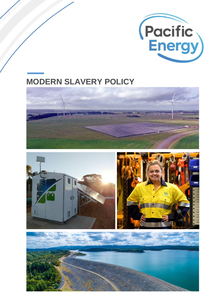

# **MODERN SLAVERY POLICY**







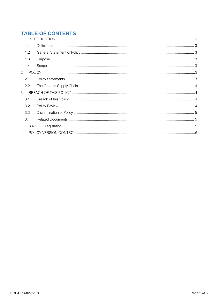## **TABLE OF CONTENTS**

| 1 <sup>1</sup> |       |  |
|----------------|-------|--|
| 1.1            |       |  |
| 1.2            |       |  |
| 1.3            |       |  |
| 1.4            |       |  |
| 2.             |       |  |
| 2.1            |       |  |
| 2.2            |       |  |
| 3.             |       |  |
| 3.1            |       |  |
| 3.2            |       |  |
| 3.3            |       |  |
| 3.4            |       |  |
|                | 3.4.1 |  |
| 4.             |       |  |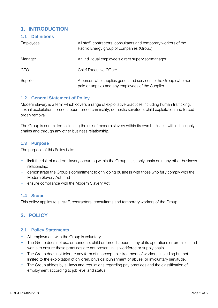### <span id="page-2-0"></span>**1. INTRODUCTION**

<span id="page-2-1"></span>**1.1 Definitions**

| <b>Dellinuons</b> |                                                                                                                      |  |  |
|-------------------|----------------------------------------------------------------------------------------------------------------------|--|--|
| <b>Employees</b>  | All staff, contractors, consultants and temporary workers of the<br>Pacific Energy group of companies (Group).       |  |  |
| Manager           | An individual employee's direct supervisor/manager                                                                   |  |  |
| <b>CEO</b>        | <b>Chief Executive Officer</b>                                                                                       |  |  |
| Supplier          | A person who supplies goods and services to the Group (whether<br>paid or unpaid) and any employees of the Supplier. |  |  |

#### <span id="page-2-2"></span>**1.2 General Statement of Policy**

Modern slavery is a term which covers a range of exploitative practices including human trafficking, sexual exploitation, forced labour, forced criminality, domestic servitude, child exploitation and forced organ removal.

The Group is committed to limiting the risk of modern slavery within its own business, within its supply chains and through any other business relationship.

#### <span id="page-2-3"></span>**1.3 Purpose**

The purpose of this Policy is to:

- − limit the risk of modern slavery occurring within the Group, its supply chain or in any other business relationship;
- − demonstrate the Group's commitment to only doing business with those who fully comply with the Modern Slavery Act; and
- − ensure compliance with the Modern Slavery Act.

#### <span id="page-2-4"></span>**1.4 Scope**

This policy applies to all staff, contractors, consultants and temporary workers of the Group.

## <span id="page-2-5"></span>**2. POLICY**

#### <span id="page-2-6"></span>**2.1 Policy Statements**

- − All employment with the Group is voluntary.
- − The Group does not use or condone, child or forced labour in any of its operations or premises and works to ensure these practices are not present in its workforce or supply chain.
- − The Group does not tolerate any form of unacceptable treatment of workers, including but not limited to the exploitation of children, physical punishment or abuse, or involuntary servitude.
- − The Group abides by all laws and regulations regarding pay practices and the classification of employment according to job level and status.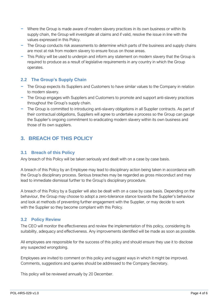- − Where the Group is made aware of modern slavery practices in its own business or within its supply chain, the Group will investigate all claims and if valid, resolve the issue in line with the values expressed in this Policy.
- − The Group conducts risk assessments to determine which parts of the business and supply chains are most at risk from modern slavery to ensure focus on those areas.
- − This Policy will be used to underpin and inform any statement on modern slavery that the Group is required to produce as a result of legislative requirements in any country in which the Group operates.

#### <span id="page-3-0"></span>**2.2 The Group's Supply Chain**

- − The Group expects its Suppliers and Customers to have similar values to the Company in relation to modern slavery.
- − The Group engages with Suppliers and Customers to promote and support anti-slavery practices throughout the Group's supply chain.
- − The Group is committed to introducing anti-slavery obligations in all Supplier contracts. As part of their contractual obligations, Suppliers will agree to undertake a process so the Group can gauge the Supplier's ongoing commitment to eradicating modern slavery within its own business and those of its own suppliers.

## <span id="page-3-1"></span>**3. BREACH OF THIS POLICY**

#### <span id="page-3-2"></span>**3.1 Breach of this Policy**

Any breach of this Policy will be taken seriously and dealt with on a case by case basis.

A breach of this Policy by an Employee may lead to disciplinary action being taken in accordance with the Group's disciplinary process. Serious breaches may be regarded as gross misconduct and may lead to immediate dismissal further to the Group's disciplinary procedure.

A breach of this Policy by a Supplier will also be dealt with on a case by case basis. Depending on the behaviour, the Group may choose to adopt a zero-tolerance stance towards the Supplier's behaviour and look at methods of preventing further engagement with the Supplier, or may decide to work with the Supplier so they become compliant with this Policy.

#### <span id="page-3-3"></span>**3.2 Policy Review**

The CEO will monitor the effectiveness and review the implementation of this policy, considering its suitability, adequacy and effectiveness. Any improvements identified will be made as soon as possible.

All employees are responsible for the success of this policy and should ensure they use it to disclose any suspected wrongdoing.

Employees are invited to comment on this policy and suggest ways in which it might be improved. Comments, suggestions and queries should be addressed to the Company Secretary.

This policy will be reviewed annually by 20 December.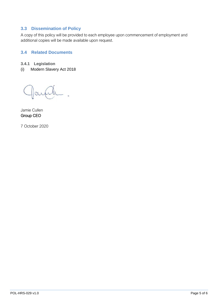#### <span id="page-4-0"></span>**3.3 Dissemination of Policy**

A copy of this policy will be provided to each employee upon commencement of employment and additional copies will be made available upon request.

#### <span id="page-4-1"></span>**3.4 Related Documents**

- <span id="page-4-2"></span>**3.4.1 Legislation**
- (i) Modern Slavery Act 2018

Jamie Cullen Group CEO

7 October 2020